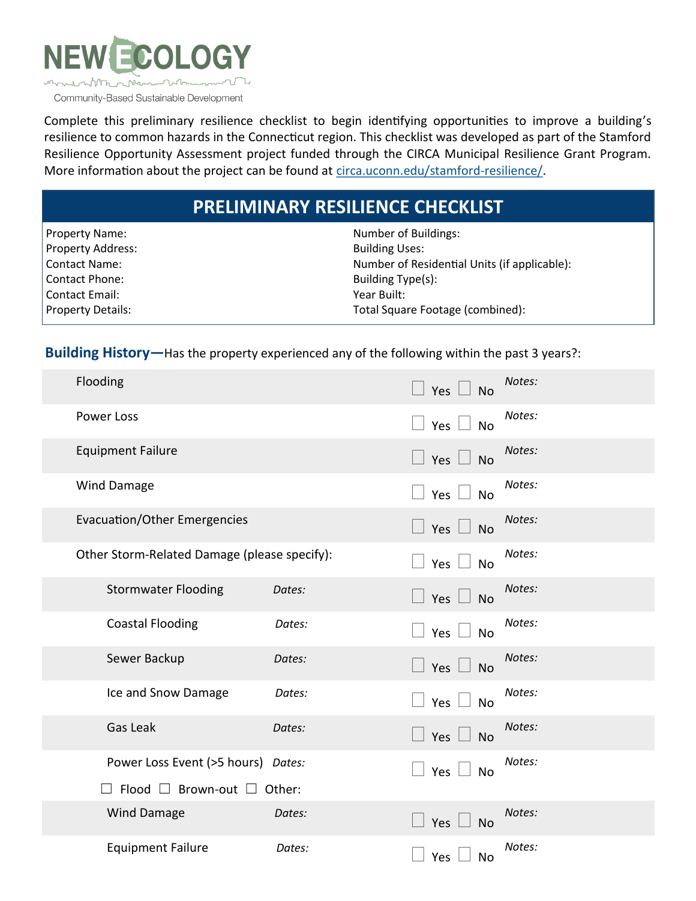

Complete this preliminary resilience checklist to begin identifying opportunities to improve a building's resilience to common hazards in the Connecticut region. This checklist was developed as part of the Stamford Resilience Opportunity Assessment project funded through the CIRCA Municipal Resilience Grant Program. More information about the project can be found at [circa.uconn.edu/stamford](circa.uconn.edu/stamford-resilience/)-resilience/.

## **PRELIMINARY RESILIENCE CHECKLIST**

| <b>Property Name:</b>    | Number of Buildings:                         |
|--------------------------|----------------------------------------------|
| Property Address:        | <b>Building Uses:</b>                        |
| Contact Name:            | Number of Residential Units (if applicable): |
| l Contact Phone:         | Building Type(s):                            |
| Contact Email:           | Year Built:                                  |
| <b>Property Details:</b> | Total Square Footage (combined):             |
|                          |                                              |

**Building History—**Has the property experienced any of the following within the past 3 years?:

| Flooding                                     |        | Yes $\Box$ No              | Notes: |
|----------------------------------------------|--------|----------------------------|--------|
| Power Loss                                   |        | Yes $\Box$ No              | Notes: |
| <b>Equipment Failure</b>                     |        | Yes $\Box$ No              | Notes: |
| <b>Wind Damage</b>                           |        | Yes $\Box$ No              | Notes: |
| <b>Evacuation/Other Emergencies</b>          |        | Yes $\Box$ No              | Notes: |
| Other Storm-Related Damage (please specify): |        | Yes $\Box$ No              | Notes: |
| <b>Stormwater Flooding</b>                   | Dates: | $\Box$ Yes $\Box$ No       | Notes: |
| <b>Coastal Flooding</b>                      | Dates: | Yes $\Box$ No              | Notes: |
| Sewer Backup                                 | Dates: | Yes $\lfloor$<br><b>No</b> | Notes: |
| Ice and Snow Damage                          | Dates: | Yes $\Box$ No              | Notes: |
| Gas Leak                                     | Dates: | Yes $\Box$ No              | Notes: |
| Power Loss Event (>5 hours) Dates:           |        | Yes<br><b>No</b>           | Notes: |
| $\Box$ Flood $\Box$ Brown-out $\Box$ Other:  |        |                            |        |
| Wind Damage                                  | Dates: | Yes<br><b>No</b>           | Notes: |
| <b>Equipment Failure</b>                     | Dates: | Yes  <br>No                | Notes: |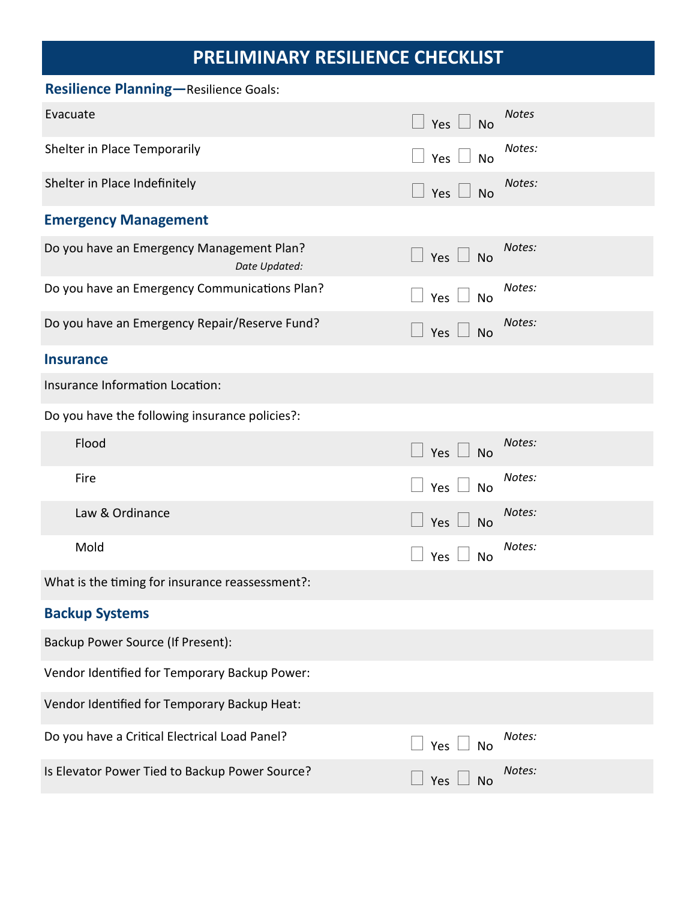## **PRELIMINARY RESILIENCE CHECKLIST**

| <b>Resilience Planning-Resilience Goals:</b>               |                         |              |  |  |  |
|------------------------------------------------------------|-------------------------|--------------|--|--|--|
| Evacuate                                                   | $\Box$ Yes $\Box$ No    | <b>Notes</b> |  |  |  |
| Shelter in Place Temporarily                               | Yes $\Box$<br>No        | Notes:       |  |  |  |
| Shelter in Place Indefinitely                              | Yes $\Box$<br><b>No</b> | Notes:       |  |  |  |
| <b>Emergency Management</b>                                |                         |              |  |  |  |
| Do you have an Emergency Management Plan?<br>Date Updated: | Yes $\Box$ No           | Notes:       |  |  |  |
| Do you have an Emergency Communications Plan?              | Yes $\Box$<br><b>No</b> | Notes:       |  |  |  |
| Do you have an Emergency Repair/Reserve Fund?              | Yes $\Box$<br><b>No</b> | Notes:       |  |  |  |
| <b>Insurance</b>                                           |                         |              |  |  |  |
| Insurance Information Location:                            |                         |              |  |  |  |
| Do you have the following insurance policies?:             |                         |              |  |  |  |
| Flood                                                      | Yes $\Box$<br><b>No</b> | Notes:       |  |  |  |
| Fire                                                       | Yes $\Box$<br><b>No</b> | Notes:       |  |  |  |
| Law & Ordinance                                            | Yes<br><b>No</b>        | Notes:       |  |  |  |
| Mold                                                       | Yes<br><b>No</b>        | Notes:       |  |  |  |
| What is the timing for insurance reassessment?:            |                         |              |  |  |  |
| <b>Backup Systems</b>                                      |                         |              |  |  |  |
| Backup Power Source (If Present):                          |                         |              |  |  |  |
| Vendor Identified for Temporary Backup Power:              |                         |              |  |  |  |
| Vendor Identified for Temporary Backup Heat:               |                         |              |  |  |  |
| Do you have a Critical Electrical Load Panel?              | Yes $\Box$<br>No        | Notes:       |  |  |  |
| Is Elevator Power Tied to Backup Power Source?             | Yes<br><b>No</b>        | Notes:       |  |  |  |